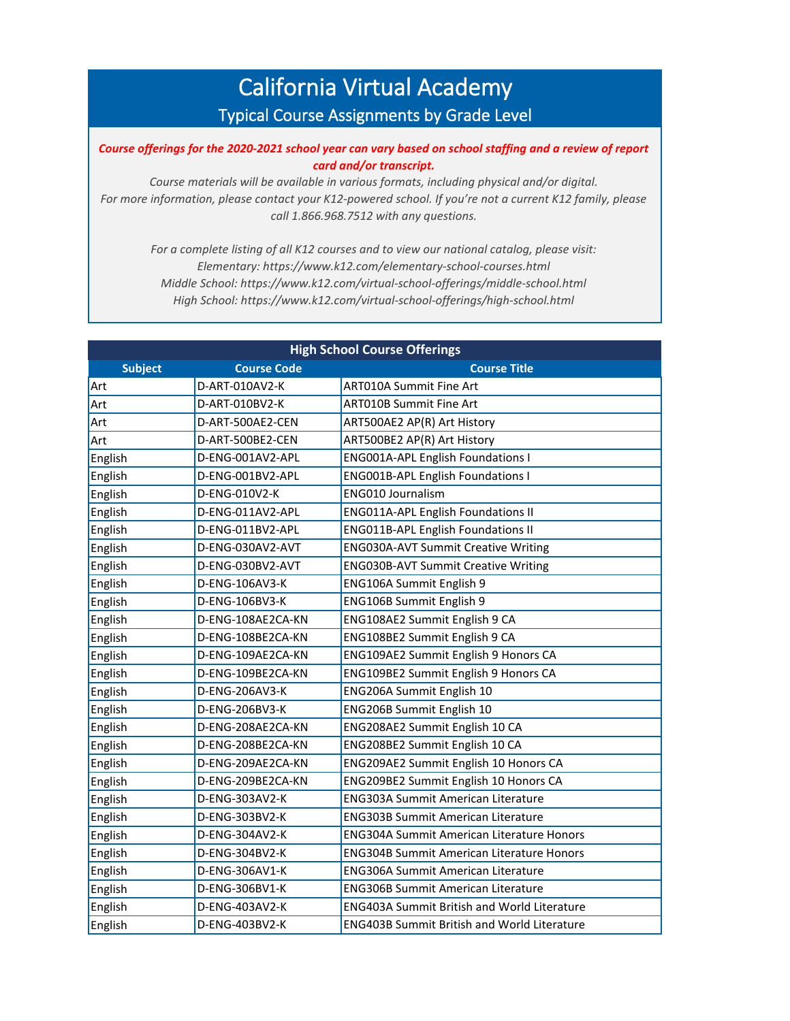## California Virtual Academy Typical Course Assignments by Grade Level

*Course offerings for the 2020-2021 school year can vary based on school staffing and a review of report card and/or transcript.* 

*Course materials will be available in various formats, including physical and/or digital. For more information, please contact your K12-powered school. If you're not a current K12 family, please call 1.866.968.7512 with any questions.*

*For a complete listing of all K12 courses and to view our national catalog, please visit: Elementary: https://www.k12.com/elementary-school-courses.html Middle School: https://www.k12.com/virtual-school-offerings/middle-school.html High School: https://www.k12.com/virtual-school-offerings/high-school.html*

| <b>High School Course Offerings</b> |                    |                                                    |
|-------------------------------------|--------------------|----------------------------------------------------|
| <b>Subject</b>                      | <b>Course Code</b> | <b>Course Title</b>                                |
| Art                                 | D-ART-010AV2-K     | ART010A Summit Fine Art                            |
| Art                                 | D-ART-010BV2-K     | <b>ART010B Summit Fine Art</b>                     |
| Art                                 | D-ART-500AE2-CEN   | ART500AE2 AP(R) Art History                        |
| Art                                 | D-ART-500BE2-CEN   | ART500BE2 AP(R) Art History                        |
| English                             | D-ENG-001AV2-APL   | <b>ENG001A-APL English Foundations I</b>           |
| English                             | D-ENG-001BV2-APL   | <b>ENG001B-APL English Foundations I</b>           |
| English                             | D-ENG-010V2-K      | ENG010 Journalism                                  |
| English                             | D-ENG-011AV2-APL   | <b>ENG011A-APL English Foundations II</b>          |
| English                             | D-ENG-011BV2-APL   | <b>ENG011B-APL English Foundations II</b>          |
| English                             | D-ENG-030AV2-AVT   | <b>ENG030A-AVT Summit Creative Writing</b>         |
| English                             | D-ENG-030BV2-AVT   | <b>ENG030B-AVT Summit Creative Writing</b>         |
| English                             | D-ENG-106AV3-K     | ENG106A Summit English 9                           |
| English                             | D-ENG-106BV3-K     | ENG106B Summit English 9                           |
| English                             | D-ENG-108AE2CA-KN  | ENG108AE2 Summit English 9 CA                      |
| English                             | D-ENG-108BE2CA-KN  | ENG108BE2 Summit English 9 CA                      |
| English                             | D-ENG-109AE2CA-KN  | ENG109AE2 Summit English 9 Honors CA               |
| English                             | D-ENG-109BE2CA-KN  | ENG109BE2 Summit English 9 Honors CA               |
| English                             | D-ENG-206AV3-K     | ENG206A Summit English 10                          |
| English                             | D-ENG-206BV3-K     | ENG206B Summit English 10                          |
| English                             | D-ENG-208AE2CA-KN  | ENG208AE2 Summit English 10 CA                     |
| English                             | D-ENG-208BE2CA-KN  | ENG208BE2 Summit English 10 CA                     |
| English                             | D-ENG-209AE2CA-KN  | ENG209AE2 Summit English 10 Honors CA              |
| English                             | D-ENG-209BE2CA-KN  | ENG209BE2 Summit English 10 Honors CA              |
| English                             | D-ENG-303AV2-K     | <b>ENG303A Summit American Literature</b>          |
| English                             | D-ENG-303BV2-K     | <b>ENG303B Summit American Literature</b>          |
| English                             | D-ENG-304AV2-K     | <b>ENG304A Summit American Literature Honors</b>   |
| English                             | D-ENG-304BV2-K     | <b>ENG304B Summit American Literature Honors</b>   |
| English                             | D-ENG-306AV1-K     | <b>ENG306A Summit American Literature</b>          |
| English                             | D-ENG-306BV1-K     | <b>ENG306B Summit American Literature</b>          |
| English                             | D-ENG-403AV2-K     | ENG403A Summit British and World Literature        |
| English                             | D-ENG-403BV2-K     | <b>ENG403B Summit British and World Literature</b> |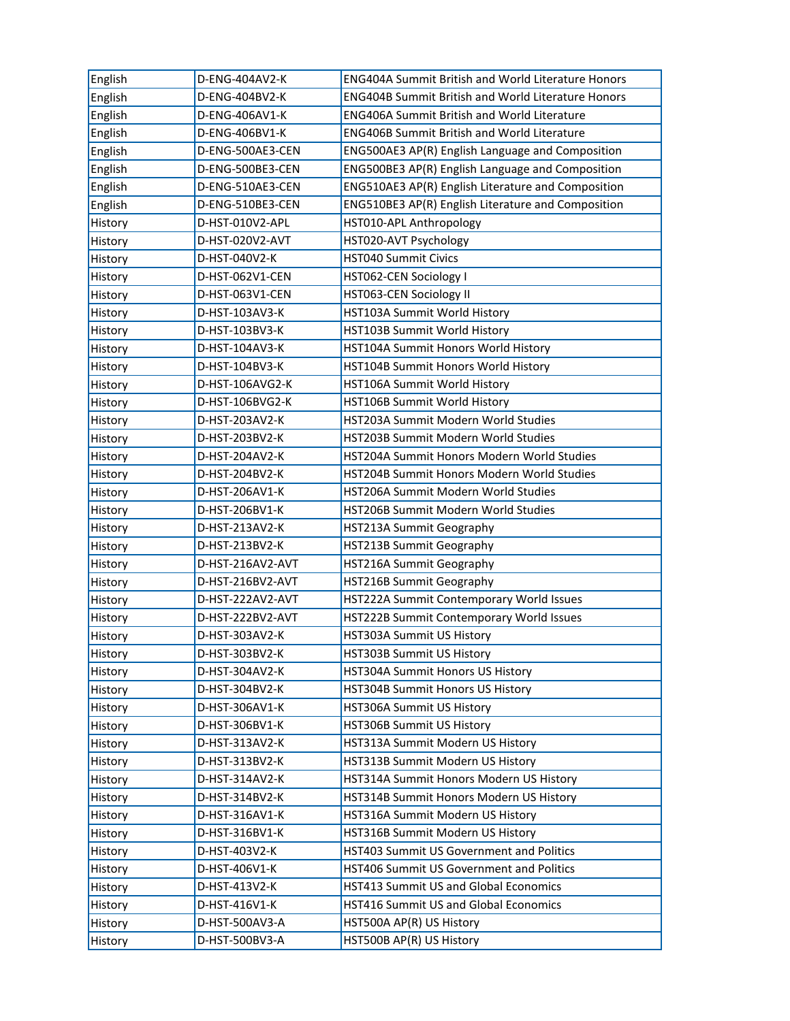| English | D-ENG-404AV2-K   | <b>ENG404A Summit British and World Literature Honors</b> |
|---------|------------------|-----------------------------------------------------------|
| English | D-ENG-404BV2-K   | <b>ENG404B Summit British and World Literature Honors</b> |
| English | D-ENG-406AV1-K   | <b>ENG406A Summit British and World Literature</b>        |
| English | D-ENG-406BV1-K   | <b>ENG406B Summit British and World Literature</b>        |
| English | D-ENG-500AE3-CEN | ENG500AE3 AP(R) English Language and Composition          |
| English | D-ENG-500BE3-CEN | ENG500BE3 AP(R) English Language and Composition          |
| English | D-ENG-510AE3-CEN | ENG510AE3 AP(R) English Literature and Composition        |
| English | D-ENG-510BE3-CEN | ENG510BE3 AP(R) English Literature and Composition        |
| History | D-HST-010V2-APL  | HST010-APL Anthropology                                   |
| History | D-HST-020V2-AVT  | HST020-AVT Psychology                                     |
| History | D-HST-040V2-K    | <b>HST040 Summit Civics</b>                               |
| History | D-HST-062V1-CEN  | HST062-CEN Sociology I                                    |
| History | D-HST-063V1-CEN  | HST063-CEN Sociology II                                   |
| History | D-HST-103AV3-K   | HST103A Summit World History                              |
| History | D-HST-103BV3-K   | HST103B Summit World History                              |
| History | D-HST-104AV3-K   | HST104A Summit Honors World History                       |
| History | D-HST-104BV3-K   | HST104B Summit Honors World History                       |
| History | D-HST-106AVG2-K  | HST106A Summit World History                              |
| History | D-HST-106BVG2-K  | HST106B Summit World History                              |
| History | D-HST-203AV2-K   | HST203A Summit Modern World Studies                       |
| History | D-HST-203BV2-K   | HST203B Summit Modern World Studies                       |
| History | D-HST-204AV2-K   | HST204A Summit Honors Modern World Studies                |
| History | D-HST-204BV2-K   | HST204B Summit Honors Modern World Studies                |
| History | D-HST-206AV1-K   | HST206A Summit Modern World Studies                       |
| History | D-HST-206BV1-K   | HST206B Summit Modern World Studies                       |
| History | D-HST-213AV2-K   | HST213A Summit Geography                                  |
| History | D-HST-213BV2-K   | HST213B Summit Geography                                  |
| History | D-HST-216AV2-AVT | HST216A Summit Geography                                  |
| History | D-HST-216BV2-AVT | HST216B Summit Geography                                  |
| History | D-HST-222AV2-AVT | HST222A Summit Contemporary World Issues                  |
| History | D-HST-222BV2-AVT | HST222B Summit Contemporary World Issues                  |
| History | D-HST-303AV2-K   | HST303A Summit US History                                 |
| History | D-HST-303BV2-K   | HST303B Summit US History                                 |
| History | D-HST-304AV2-K   | HST304A Summit Honors US History                          |
| History | D-HST-304BV2-K   | HST304B Summit Honors US History                          |
| History | D-HST-306AV1-K   | HST306A Summit US History                                 |
| History | D-HST-306BV1-K   | HST306B Summit US History                                 |
| History | D-HST-313AV2-K   | HST313A Summit Modern US History                          |
| History | D-HST-313BV2-K   | HST313B Summit Modern US History                          |
| History | D-HST-314AV2-K   | HST314A Summit Honors Modern US History                   |
| History | D-HST-314BV2-K   | HST314B Summit Honors Modern US History                   |
| History | D-HST-316AV1-K   | HST316A Summit Modern US History                          |
| History | D-HST-316BV1-K   | HST316B Summit Modern US History                          |
| History | D-HST-403V2-K    | HST403 Summit US Government and Politics                  |
| History | D-HST-406V1-K    | HST406 Summit US Government and Politics                  |
| History | D-HST-413V2-K    | <b>HST413 Summit US and Global Economics</b>              |
| History | D-HST-416V1-K    | HST416 Summit US and Global Economics                     |
| History | D-HST-500AV3-A   | HST500A AP(R) US History                                  |
| History | D-HST-500BV3-A   | HST500B AP(R) US History                                  |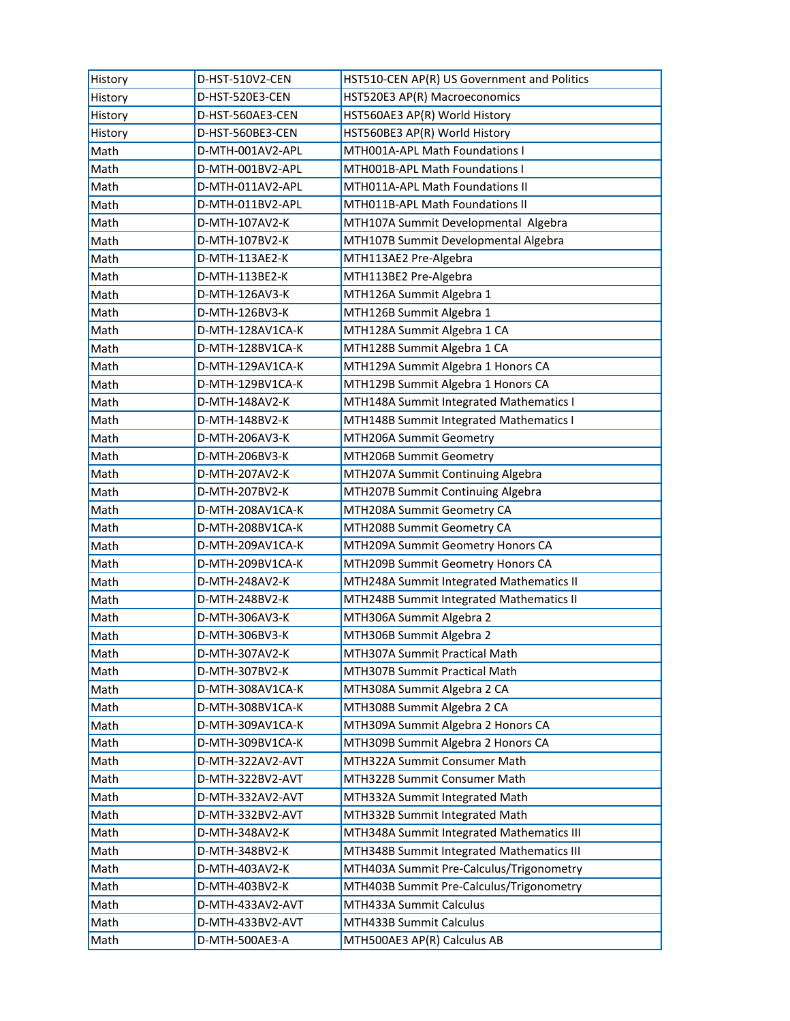| History | D-HST-510V2-CEN  | HST510-CEN AP(R) US Government and Politics |
|---------|------------------|---------------------------------------------|
| History | D-HST-520E3-CEN  | HST520E3 AP(R) Macroeconomics               |
| History | D-HST-560AE3-CEN | HST560AE3 AP(R) World History               |
| History | D-HST-560BE3-CEN | HST560BE3 AP(R) World History               |
| Math    | D-MTH-001AV2-APL | MTH001A-APL Math Foundations I              |
| Math    | D-MTH-001BV2-APL | MTH001B-APL Math Foundations I              |
| Math    | D-MTH-011AV2-APL | MTH011A-APL Math Foundations II             |
| Math    | D-MTH-011BV2-APL | MTH011B-APL Math Foundations II             |
| Math    | D-MTH-107AV2-K   | MTH107A Summit Developmental Algebra        |
| Math    | D-MTH-107BV2-K   | MTH107B Summit Developmental Algebra        |
| Math    | D-MTH-113AE2-K   | MTH113AE2 Pre-Algebra                       |
| Math    | D-MTH-113BE2-K   | MTH113BE2 Pre-Algebra                       |
| Math    | D-MTH-126AV3-K   | MTH126A Summit Algebra 1                    |
| Math    | D-MTH-126BV3-K   | MTH126B Summit Algebra 1                    |
| Math    | D-MTH-128AV1CA-K | MTH128A Summit Algebra 1 CA                 |
| Math    | D-MTH-128BV1CA-K | MTH128B Summit Algebra 1 CA                 |
| Math    | D-MTH-129AV1CA-K | MTH129A Summit Algebra 1 Honors CA          |
| Math    | D-MTH-129BV1CA-K | MTH129B Summit Algebra 1 Honors CA          |
| Math    | D-MTH-148AV2-K   | MTH148A Summit Integrated Mathematics I     |
| Math    | D-MTH-148BV2-K   | MTH148B Summit Integrated Mathematics I     |
| Math    | D-MTH-206AV3-K   | MTH206A Summit Geometry                     |
| Math    | D-MTH-206BV3-K   | MTH206B Summit Geometry                     |
| Math    | D-MTH-207AV2-K   | MTH207A Summit Continuing Algebra           |
| Math    | D-MTH-207BV2-K   | MTH207B Summit Continuing Algebra           |
| Math    | D-MTH-208AV1CA-K | MTH208A Summit Geometry CA                  |
| Math    | D-MTH-208BV1CA-K | MTH208B Summit Geometry CA                  |
| Math    | D-MTH-209AV1CA-K | MTH209A Summit Geometry Honors CA           |
| Math    | D-MTH-209BV1CA-K | MTH209B Summit Geometry Honors CA           |
| Math    | D-MTH-248AV2-K   | MTH248A Summit Integrated Mathematics II    |
| Math    | D-MTH-248BV2-K   | MTH248B Summit Integrated Mathematics II    |
| Math    | D-MTH-306AV3-K   | MTH306A Summit Algebra 2                    |
| Math    | D-MTH-306BV3-K   | MTH306B Summit Algebra 2                    |
| Math    | D-MTH-307AV2-K   | MTH307A Summit Practical Math               |
| Math    | D-MTH-307BV2-K   | MTH307B Summit Practical Math               |
| Math    | D-MTH-308AV1CA-K | MTH308A Summit Algebra 2 CA                 |
| Math    | D-MTH-308BV1CA-K | MTH308B Summit Algebra 2 CA                 |
| Math    | D-MTH-309AV1CA-K | MTH309A Summit Algebra 2 Honors CA          |
| Math    | D-MTH-309BV1CA-K | MTH309B Summit Algebra 2 Honors CA          |
| Math    | D-MTH-322AV2-AVT | MTH322A Summit Consumer Math                |
| Math    | D-MTH-322BV2-AVT | MTH322B Summit Consumer Math                |
| Math    | D-MTH-332AV2-AVT | MTH332A Summit Integrated Math              |
| Math    | D-MTH-332BV2-AVT | MTH332B Summit Integrated Math              |
| Math    | D-MTH-348AV2-K   | MTH348A Summit Integrated Mathematics III   |
| Math    | D-MTH-348BV2-K   | MTH348B Summit Integrated Mathematics III   |
| Math    | D-MTH-403AV2-K   | MTH403A Summit Pre-Calculus/Trigonometry    |
| Math    | D-MTH-403BV2-K   | MTH403B Summit Pre-Calculus/Trigonometry    |
| Math    | D-MTH-433AV2-AVT | MTH433A Summit Calculus                     |
| Math    | D-MTH-433BV2-AVT | MTH433B Summit Calculus                     |
| Math    | D-MTH-500AE3-A   | MTH500AE3 AP(R) Calculus AB                 |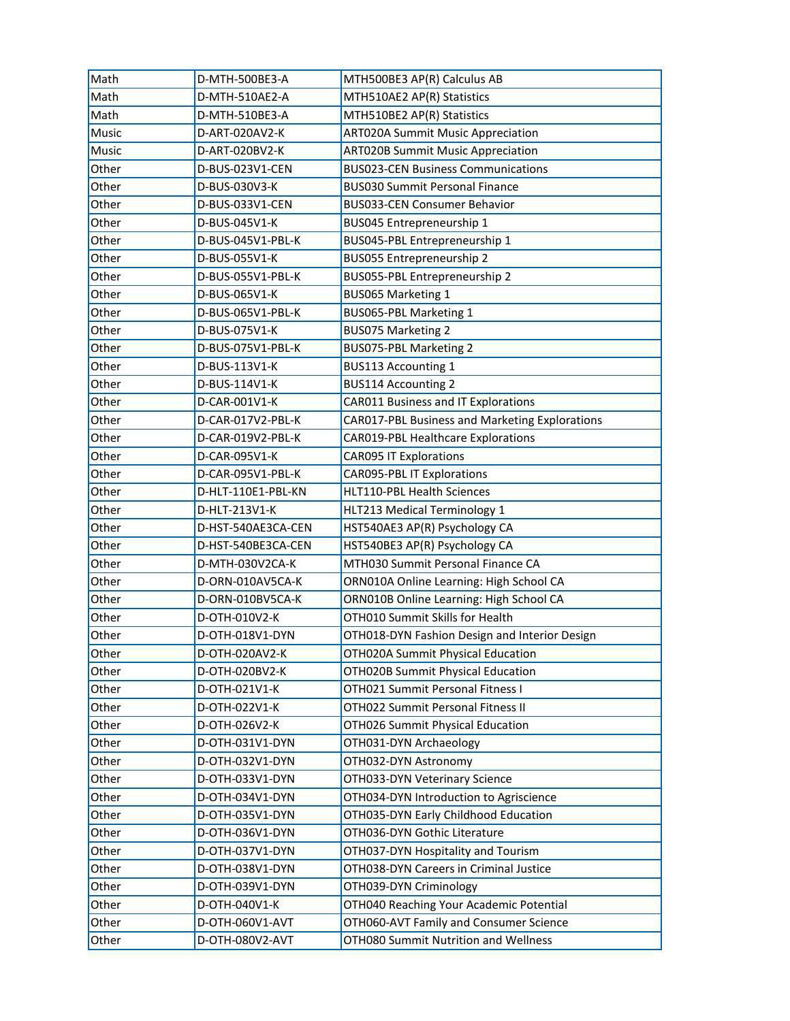| Math  | D-MTH-500BE3-A     | MTH500BE3 AP(R) Calculus AB                    |
|-------|--------------------|------------------------------------------------|
| Math  | D-MTH-510AE2-A     | MTH510AE2 AP(R) Statistics                     |
| Math  | D-MTH-510BE3-A     | MTH510BE2 AP(R) Statistics                     |
| Music | D-ART-020AV2-K     | <b>ART020A Summit Music Appreciation</b>       |
| Music | D-ART-020BV2-K     | <b>ART020B Summit Music Appreciation</b>       |
| Other | D-BUS-023V1-CEN    | <b>BUS023-CEN Business Communications</b>      |
| Other | D-BUS-030V3-K      | <b>BUS030 Summit Personal Finance</b>          |
| Other | D-BUS-033V1-CEN    | BUS033-CEN Consumer Behavior                   |
| Other | D-BUS-045V1-K      | BUS045 Entrepreneurship 1                      |
| Other | D-BUS-045V1-PBL-K  | BUS045-PBL Entrepreneurship 1                  |
| Other | D-BUS-055V1-K      | BUS055 Entrepreneurship 2                      |
| Other | D-BUS-055V1-PBL-K  | BUS055-PBL Entrepreneurship 2                  |
| Other | D-BUS-065V1-K      | BUS065 Marketing 1                             |
| Other | D-BUS-065V1-PBL-K  | BUS065-PBL Marketing 1                         |
| Other | D-BUS-075V1-K      | <b>BUS075 Marketing 2</b>                      |
| Other | D-BUS-075V1-PBL-K  | BUS075-PBL Marketing 2                         |
| Other | D-BUS-113V1-K      | <b>BUS113 Accounting 1</b>                     |
| Other | D-BUS-114V1-K      | <b>BUS114 Accounting 2</b>                     |
| Other | D-CAR-001V1-K      | CAR011 Business and IT Explorations            |
| Other | D-CAR-017V2-PBL-K  | CAR017-PBL Business and Marketing Explorations |
| Other | D-CAR-019V2-PBL-K  | <b>CAR019-PBL Healthcare Explorations</b>      |
| Other | D-CAR-095V1-K      | <b>CAR095 IT Explorations</b>                  |
| Other | D-CAR-095V1-PBL-K  | <b>CAR095-PBL IT Explorations</b>              |
| Other | D-HLT-110E1-PBL-KN | HLT110-PBL Health Sciences                     |
| Other | D-HLT-213V1-K      | HLT213 Medical Terminology 1                   |
| Other | D-HST-540AE3CA-CEN | HST540AE3 AP(R) Psychology CA                  |
| Other | D-HST-540BE3CA-CEN | HST540BE3 AP(R) Psychology CA                  |
| Other | D-MTH-030V2CA-K    | MTH030 Summit Personal Finance CA              |
| Other | D-ORN-010AV5CA-K   | ORN010A Online Learning: High School CA        |
| Other | D-ORN-010BV5CA-K   | ORN010B Online Learning: High School CA        |
| Other | D-OTH-010V2-K      | OTH010 Summit Skills for Health                |
| Other | D-OTH-018V1-DYN    | OTH018-DYN Fashion Design and Interior Design  |
| Other | D-OTH-020AV2-K     | OTH020A Summit Physical Education              |
| Other | D-OTH-020BV2-K     | OTH020B Summit Physical Education              |
| Other | D-OTH-021V1-K      | OTH021 Summit Personal Fitness I               |
| Other | D-OTH-022V1-K      | OTH022 Summit Personal Fitness II              |
| Other | D-OTH-026V2-K      | OTH026 Summit Physical Education               |
| Other | D-OTH-031V1-DYN    | OTH031-DYN Archaeology                         |
| Other | D-OTH-032V1-DYN    | OTH032-DYN Astronomy                           |
| Other | D-OTH-033V1-DYN    | OTH033-DYN Veterinary Science                  |
| Other | D-OTH-034V1-DYN    | OTH034-DYN Introduction to Agriscience         |
| Other | D-OTH-035V1-DYN    | OTH035-DYN Early Childhood Education           |
| Other | D-OTH-036V1-DYN    | OTH036-DYN Gothic Literature                   |
| Other | D-OTH-037V1-DYN    | OTH037-DYN Hospitality and Tourism             |
| Other | D-OTH-038V1-DYN    | OTH038-DYN Careers in Criminal Justice         |
| Other | D-OTH-039V1-DYN    | OTH039-DYN Criminology                         |
| Other | D-OTH-040V1-K      | OTH040 Reaching Your Academic Potential        |
| Other | D-OTH-060V1-AVT    | OTH060-AVT Family and Consumer Science         |
| Other | D-OTH-080V2-AVT    | OTH080 Summit Nutrition and Wellness           |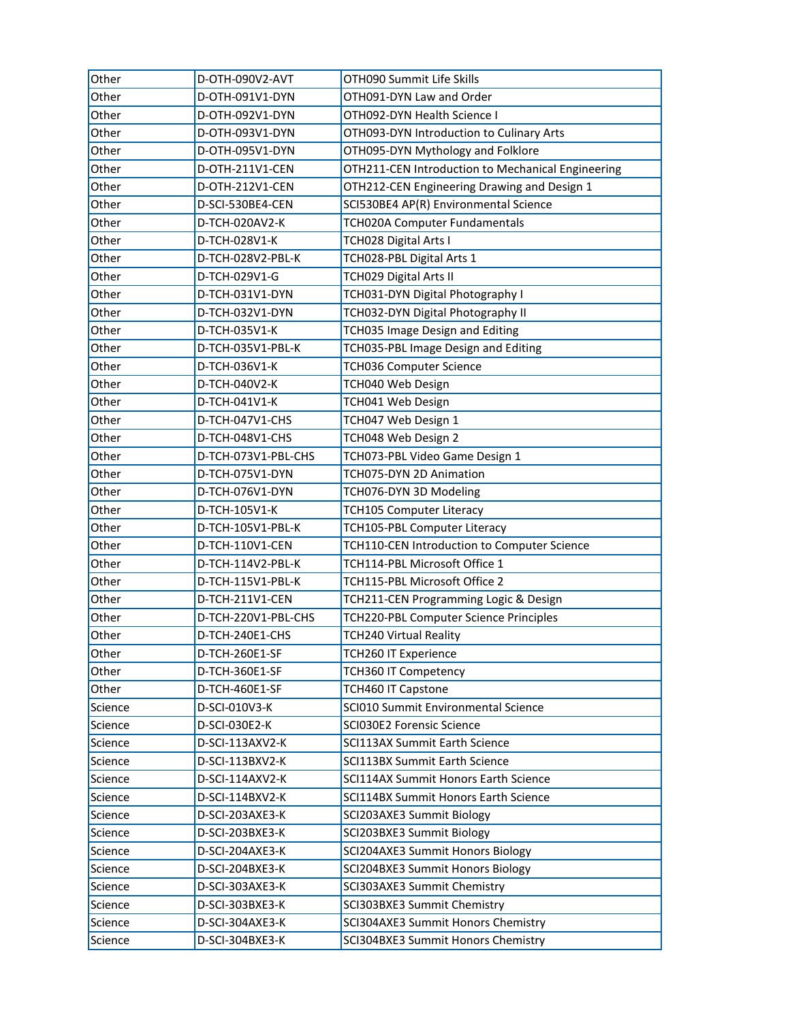| Other   | D-OTH-090V2-AVT     | OTH090 Summit Life Skills                         |
|---------|---------------------|---------------------------------------------------|
| Other   | D-OTH-091V1-DYN     | OTH091-DYN Law and Order                          |
| Other   | D-OTH-092V1-DYN     | OTH092-DYN Health Science I                       |
| Other   | D-OTH-093V1-DYN     | OTH093-DYN Introduction to Culinary Arts          |
| Other   | D-OTH-095V1-DYN     | OTH095-DYN Mythology and Folklore                 |
| Other   | D-OTH-211V1-CEN     | OTH211-CEN Introduction to Mechanical Engineering |
| Other   | D-OTH-212V1-CEN     | OTH212-CEN Engineering Drawing and Design 1       |
| Other   | D-SCI-530BE4-CEN    | SCI530BE4 AP(R) Environmental Science             |
| Other   | D-TCH-020AV2-K      | TCH020A Computer Fundamentals                     |
| Other   | D-TCH-028V1-K       | TCH028 Digital Arts I                             |
| Other   | D-TCH-028V2-PBL-K   | TCH028-PBL Digital Arts 1                         |
| Other   | D-TCH-029V1-G       | TCH029 Digital Arts II                            |
| Other   | D-TCH-031V1-DYN     | TCH031-DYN Digital Photography I                  |
| Other   | D-TCH-032V1-DYN     | TCH032-DYN Digital Photography II                 |
| Other   | D-TCH-035V1-K       | TCH035 Image Design and Editing                   |
| Other   | D-TCH-035V1-PBL-K   | TCH035-PBL Image Design and Editing               |
| Other   | D-TCH-036V1-K       | TCH036 Computer Science                           |
| Other   | D-TCH-040V2-K       | TCH040 Web Design                                 |
| Other   | D-TCH-041V1-K       | TCH041 Web Design                                 |
| Other   | D-TCH-047V1-CHS     | TCH047 Web Design 1                               |
| Other   | D-TCH-048V1-CHS     | TCH048 Web Design 2                               |
| Other   | D-TCH-073V1-PBL-CHS | TCH073-PBL Video Game Design 1                    |
| Other   | D-TCH-075V1-DYN     | TCH075-DYN 2D Animation                           |
| Other   | D-TCH-076V1-DYN     | TCH076-DYN 3D Modeling                            |
| Other   | D-TCH-105V1-K       | <b>TCH105 Computer Literacy</b>                   |
| Other   | D-TCH-105V1-PBL-K   | TCH105-PBL Computer Literacy                      |
| Other   | D-TCH-110V1-CEN     | TCH110-CEN Introduction to Computer Science       |
| Other   | D-TCH-114V2-PBL-K   | TCH114-PBL Microsoft Office 1                     |
| Other   | D-TCH-115V1-PBL-K   | TCH115-PBL Microsoft Office 2                     |
| Other   | D-TCH-211V1-CEN     | TCH211-CEN Programming Logic & Design             |
| Other   | D-TCH-220V1-PBL-CHS | TCH220-PBL Computer Science Principles            |
| Other   | D-TCH-240E1-CHS     | <b>TCH240 Virtual Reality</b>                     |
| Other   | D-TCH-260E1-SF      | TCH260 IT Experience                              |
| Other   | D-TCH-360E1-SF      | TCH360 IT Competency                              |
| Other   | D-TCH-460E1-SF      | TCH460 IT Capstone                                |
| Science | D-SCI-010V3-K       | SCI010 Summit Environmental Science               |
| Science | D-SCI-030E2-K       | SCI030E2 Forensic Science                         |
| Science | D-SCI-113AXV2-K     | <b>SCI113AX Summit Earth Science</b>              |
| Science | D-SCI-113BXV2-K     | <b>SCI113BX Summit Earth Science</b>              |
| Science | D-SCI-114AXV2-K     | SCI114AX Summit Honors Earth Science              |
| Science | D-SCI-114BXV2-K     | SCI114BX Summit Honors Earth Science              |
| Science | D-SCI-203AXE3-K     | SCI203AXE3 Summit Biology                         |
| Science | D-SCI-203BXE3-K     | SCI203BXE3 Summit Biology                         |
| Science | D-SCI-204AXE3-K     | SCI204AXE3 Summit Honors Biology                  |
| Science | D-SCI-204BXE3-K     | SCI204BXE3 Summit Honors Biology                  |
| Science | D-SCI-303AXE3-K     | SCI303AXE3 Summit Chemistry                       |
| Science | D-SCI-303BXE3-K     | SCI303BXE3 Summit Chemistry                       |
| Science | D-SCI-304AXE3-K     | SCI304AXE3 Summit Honors Chemistry                |
| Science | D-SCI-304BXE3-K     | SCI304BXE3 Summit Honors Chemistry                |